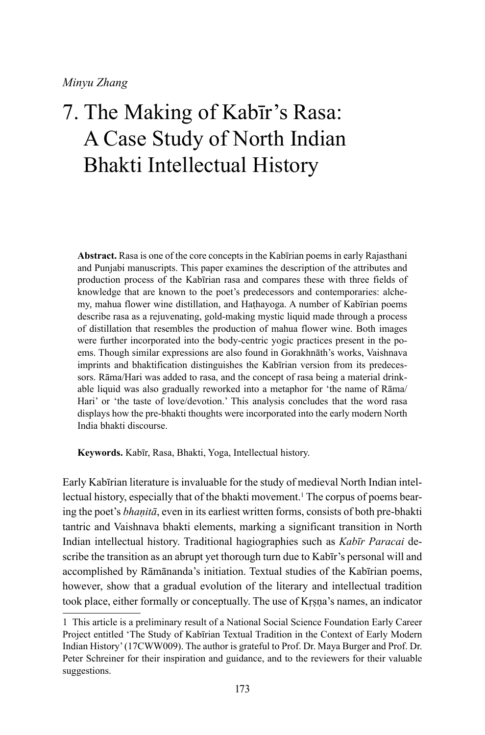# 7. The Making of Kabīr's Rasa: A Case Study of North Indian Bhakti Intellectual History

**Abstract.** Rasa is one of the core concepts in the Kabīrian poems in early Rajasthani and Punjabi manuscripts. This paper examines the description of the attributes and production process of the Kabīrian rasa and compares these with three fields of knowledge that are known to the poet's predecessors and contemporaries: alchemy, mahua flower wine distillation, and Haṭhayoga. A number of Kabīrian poems describe rasa as a rejuvenating, gold-making mystic liquid made through a process of distillation that resembles the production of mahua flower wine. Both images were further incorporated into the body-centric yogic practices present in the poems. Though similar expressions are also found in Gorakhnāth's works, Vaishnava imprints and bhaktification distinguishes the Kabīrian version from its predecessors. Rāma/Hari was added to rasa, and the concept of rasa being a material drinkable liquid was also gradually reworked into a metaphor for 'the name of Rāma/ Hari' or 'the taste of love/devotion.' This analysis concludes that the word rasa displays how the pre-bhakti thoughts were incorporated into the early modern North India bhakti discourse.

**Keywords.** Kabīr, Rasa, Bhakti, Yoga, Intellectual history.

Early Kabīrian literature is invaluable for the study of medieval North Indian intellectual history, especially that of the bhakti movement.<sup>1</sup> The corpus of poems bearing the poet's *bhaṇitā*, even in its earliest written forms, consists of both pre-bhakti tantric and Vaishnava bhakti elements, marking a significant transition in North Indian intellectual history. Traditional hagiographies such as *Kabīr Paracai* describe the transition as an abrupt yet thorough turn due to Kabīr's personal will and accomplished by Rāmānanda's initiation. Textual studies of the Kabīrian poems, however, show that a gradual evolution of the literary and intellectual tradition took place, either formally or conceptually. The use of Kṛṣṇa's names, an indicator

<sup>1</sup> This article is a preliminary result of a National Social Science Foundation Early Career Project entitled 'The Study of Kabīrian Textual Tradition in the Context of Early Modern Indian History' (17CWW009). The author is grateful to Prof. Dr. Maya Burger and Prof. Dr. Peter Schreiner for their inspiration and guidance, and to the reviewers for their valuable suggestions.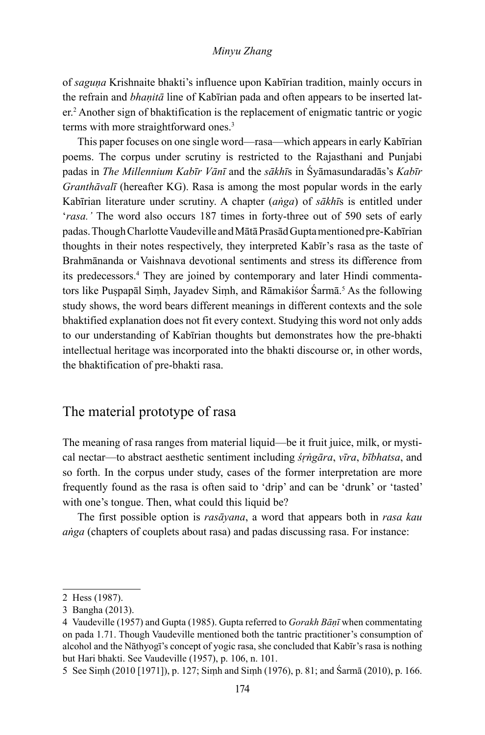of *saguṇa* Krishnaite bhakti's influence upon Kabīrian tradition, mainly occurs in the refrain and *bhaṇitā* line of Kabīrian pada and often appears to be inserted later.<sup>2</sup> Another sign of bhaktification is the replacement of enigmatic tantric or yogic terms with more straightforward ones.<sup>3</sup>

This paper focuses on one single word—rasa—which appears in early Kabīrian poems. The corpus under scrutiny is restricted to the Rajasthani and Punjabi padas in *The Millennium Kabīr Vānī* and the *sākhī*s in Śyāmasundaradās's *Kabīr Granthāvalī* (hereafter KG). Rasa is among the most popular words in the early Kabīrian literature under scrutiny. A chapter (*aṅga*) of *sākhī*s is entitled under '*rasa.'* The word also occurs 187 times in forty-three out of 590 sets of early padas. Though Charlotte Vaudeville and Mātā Prasād Gupta mentioned pre-Kabīrian thoughts in their notes respectively, they interpreted Kabīr's rasa as the taste of Brahmānanda or Vaishnava devotional sentiments and stress its difference from its predecessors.<sup>4</sup> They are joined by contemporary and later Hindi commentators like Puṣpapāl Siṃh, Jayadev Siṃh, and Rāmakiśor Sarmā.<sup>5</sup> As the following study shows, the word bears different meanings in different contexts and the sole bhaktified explanation does not fit every context. Studying this word not only adds to our understanding of Kabīrian thoughts but demonstrates how the pre-bhakti intellectual heritage was incorporated into the bhakti discourse or, in other words, the bhaktification of pre-bhakti rasa.

# The material prototype of rasa

The meaning of rasa ranges from material liquid—be it fruit juice, milk, or mystical nectar—to abstract aesthetic sentiment including *śṛṅgāra*, *vīra*, *bībhatsa*, and so forth. In the corpus under study, cases of the former interpretation are more frequently found as the rasa is often said to 'drip' and can be 'drunk' or 'tasted' with one's tongue. Then, what could this liquid be?

The first possible option is *rasāyana*, a word that appears both in *rasa kau aṅga* (chapters of couplets about rasa) and padas discussing rasa. For instance:

<sup>2</sup> Hess (1987).

<sup>3</sup> Bangha (2013).

<sup>4</sup> Vaudeville (1957) and Gupta (1985). Gupta referred to *Gorakh Bāṇī* when commentating on pada 1.71. Though Vaudeville mentioned both the tantric practitioner's consumption of alcohol and the Nāthyogī's concept of yogic rasa, she concluded that Kabīr's rasa is nothing but Hari bhakti. See Vaudeville (1957), p. 106, n. 101.

<sup>5</sup> See Siṃh (2010 [1971]), p. 127; Siṃh and Siṃh (1976), p. 81; and Śarmā (2010), p. 166.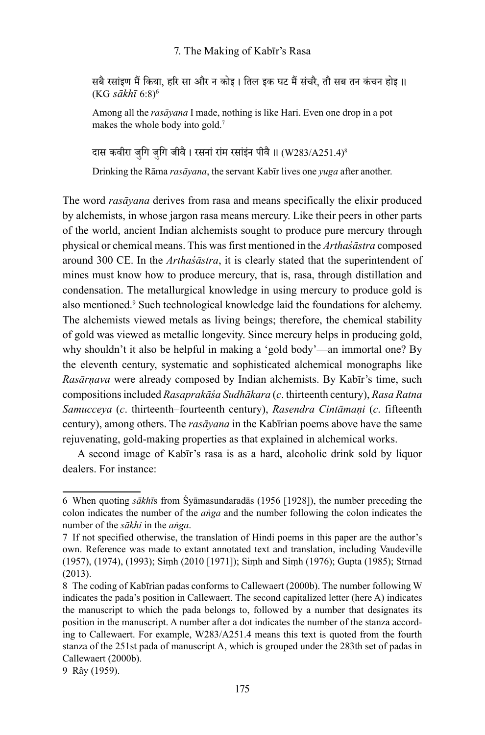सबै रसां इण मैं किया, हरि सा और न कोइ । तिल इक घट मैं सं चरै, तौ सब तन कंचन होइ ।। (KG *sākhī* 6:8)6

Among all the *rasāyana* I made, nothing is like Hari. Even one drop in a pot makes the whole body into gold.<sup>7</sup>

दास कवीरा जुगि जुगि जीवै । रसनां रांम रसांइंन पीवै ॥ (W283/A251.4)<sup>8</sup>

Drinking the Rāma *rasāyana*, the servant Kabīr lives one *yuga* after another.

The word *rasāyana* derives from rasa and means specifically the elixir produced by alchemists, in whose jargon rasa means mercury. Like their peers in other parts of the world, ancient Indian alchemists sought to produce pure mercury through physical or chemical means. This was first mentioned in the *Arthaśāstra* composed around 300 CE. In the *Arthaśāstra*, it is clearly stated that the superintendent of mines must know how to produce mercury, that is, rasa, through distillation and condensation. The metallurgical knowledge in using mercury to produce gold is also mentioned.9 Such technological knowledge laid the foundations for alchemy. The alchemists viewed metals as living beings; therefore, the chemical stability of gold was viewed as metallic longevity. Since mercury helps in producing gold, why shouldn't it also be helpful in making a 'gold body'—an immortal one? By the eleventh century, systematic and sophisticated alchemical monographs like *Rasārṇava* were already composed by Indian alchemists. By Kabīr's time, such compositions included *Rasaprakāśa Sudhākara* (*c*. thirteenth century), *Rasa Ratna Samucceya* (*c*. thirteenth–fourteenth century), *Rasendra Cintāmaṇi* (*c*. fifteenth century), among others. The *rasāyana* in the Kabīrian poems above have the same rejuvenating, gold-making properties as that explained in alchemical works.

A second image of Kabīr's rasa is as a hard, alcoholic drink sold by liquor dealers. For instance:

<sup>6</sup> When quoting *sākhī*s from Śyāmasundaradās (1956 [1928]), the number preceding the colon indicates the number of the *aṅga* and the number following the colon indicates the number of the *sākhi* in the *aṅga*.

<sup>7</sup> If not specified otherwise, the translation of Hindi poems in this paper are the author's own. Reference was made to extant annotated text and translation, including Vaudeville (1957), (1974), (1993); Siṃh (2010 [1971]); Siṃh and Siṃh (1976); Gupta (1985); Strnad (2013).

<sup>8</sup> The coding of Kabīrian padas conforms to Callewaert (2000b). The number following W indicates the pada's position in Callewaert. The second capitalized letter (here A) indicates the manuscript to which the pada belongs to, followed by a number that designates its position in the manuscript. A number after a dot indicates the number of the stanza according to Callewaert. For example, W283/A251.4 means this text is quoted from the fourth stanza of the 251st pada of manuscript A, which is grouped under the 283th set of padas in Callewaert (2000b).

<sup>9</sup> Rây (1959).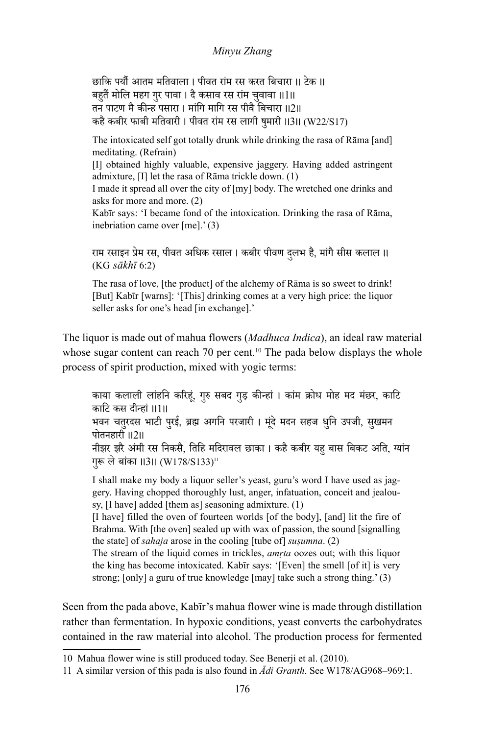छाकि पर्यौ आतम मतिवाला । पीवत रां म रस करत बिचारा ।। टेक ।। बहुतैं मोलि महग गुर पावा । दै कसाव रस राम चुवावा ॥1॥<br>प तन पाटण मै कीन्ह पसारा । मां गि मागि रस पीवै बिचारा ।।2।। कहै कबीर फाबी मतिवारी । पीवत रांम रस लागी षुमारी ।।3।। (W22/S17)

The intoxicated self got totally drunk while drinking the rasa of Rāma [and] meditating. (Refrain)

[I] obtained highly valuable, expensive jaggery. Having added astringent admixture, [I] let the rasa of Rāma trickle down. (1)

I made it spread all over the city of [my] body. The wretched one drinks and asks for more and more. (2)

Kabīr says: 'I became fond of the intoxication. Drinking the rasa of Rāma, inebriation came over [me].' (3)

राम रसाइन प्रेम रस, पीवत अधिक रसाल । कबीर पीवण दलभ है, मा ु ं गै सीस कलाल ।। (KG *sākhī* 6:2)

The rasa of love, [the product] of the alchemy of Rāma is so sweet to drink! [But] Kabīr [warns]: '[This] drinking comes at a very high price: the liquor seller asks for one's head [in exchange].'

The liquor is made out of mahua flowers (*Madhuca Indica*), an ideal raw material whose sugar content can reach 70 per cent.<sup>10</sup> The pada below displays the whole process of spirit production, mixed with yogic terms:

काया कलाली लाहनि करिहूं, गुरु सबद गुड़ कीन्हां । कांम क्रोध मोह मद मंछर, काटि काटि कस दीन्हां ।।1।। भवन चतुरदस भाटी पुरई, ब्रह्म अगनि परजारी । मूंदे मदन सहज धुनि उपजी, सुखमन<br>पोतनहारी ॥2॥ नीझर झरै अमी रस ं निकसै, तिहि मदिरावल छाका । कहै कबीर यहु बास बिकट अति, ग्यांन गुरू ले बांका ॥3॥ (W178/S133)''

I shall make my body a liquor seller's yeast, guru's word I have used as jaggery. Having chopped thoroughly lust, anger, infatuation, conceit and jealousy, [I have] added [them as] seasoning admixture. (1)

[I have] filled the oven of fourteen worlds [of the body], [and] lit the fire of Brahma. With [the oven] sealed up with wax of passion, the sound [signalling the state] of *sahaja* arose in the cooling [tube of] *suṣumna*. (2)

The stream of the liquid comes in trickles, *amṛta* oozes out; with this liquor the king has become intoxicated. Kabīr says: '[Even] the smell [of it] is very strong; [only] a guru of true knowledge [may] take such a strong thing.' (3)

Seen from the pada above, Kabīr's mahua flower wine is made through distillation rather than fermentation. In hypoxic conditions, yeast converts the carbohydrates contained in the raw material into alcohol. The production process for fermented

<sup>10</sup> Mahua flower wine is still produced today. See Benerji et al. (2010).

<sup>11</sup> A similar version of this pada is also found in *Ādi Granth*. See W178/AG968–969;1.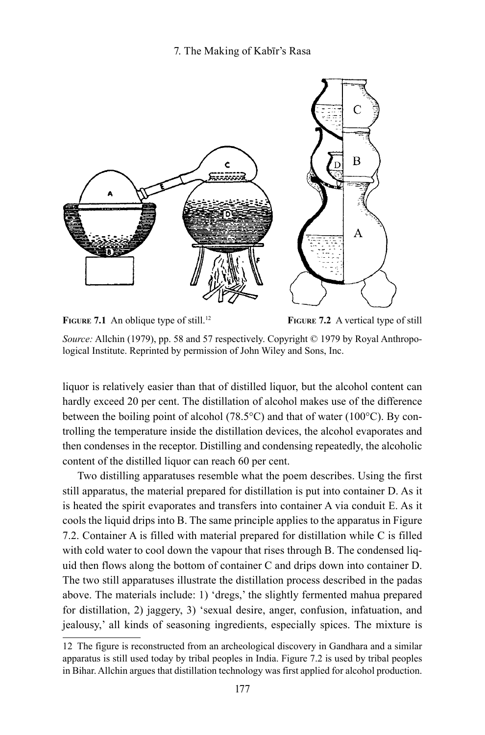## 7. The Making of Kabīr's Rasa



**FIGURE 7.1** An oblique type of still.<sup>12</sup>

**Figure 7.2** A vertical type of still

*Source:* Allchin (1979), pp. 58 and 57 respectively. Copyright © 1979 by Royal Anthropological Institute. Reprinted by permission of John Wiley and Sons, Inc.

liquor is relatively easier than that of distilled liquor, but the alcohol content can hardly exceed 20 per cent. The distillation of alcohol makes use of the difference between the boiling point of alcohol (78.5°C) and that of water (100°C). By controlling the temperature inside the distillation devices, the alcohol evaporates and then condenses in the receptor. Distilling and condensing repeatedly, the alcoholic content of the distilled liquor can reach 60 per cent.

Two distilling apparatuses resemble what the poem describes. Using the first still apparatus, the material prepared for distillation is put into container D. As it is heated the spirit evaporates and transfers into container A via conduit E. As it cools the liquid drips into B. The same principle applies to the apparatus in Figure 7.2. Container A is filled with material prepared for distillation while C is filled with cold water to cool down the vapour that rises through B. The condensed liquid then flows along the bottom of container C and drips down into container D. The two still apparatuses illustrate the distillation process described in the padas above. The materials include: 1) 'dregs,' the slightly fermented mahua prepared for distillation, 2) jaggery, 3) 'sexual desire, anger, confusion, infatuation, and jealousy,' all kinds of seasoning ingredients, especially spices. The mixture is

<sup>12</sup> The figure is reconstructed from an archeological discovery in Gandhara and a similar apparatus is still used today by tribal peoples in India. Figure 7.2 is used by tribal peoples in Bihar. Allchin argues that distillation technology was first applied for alcohol production.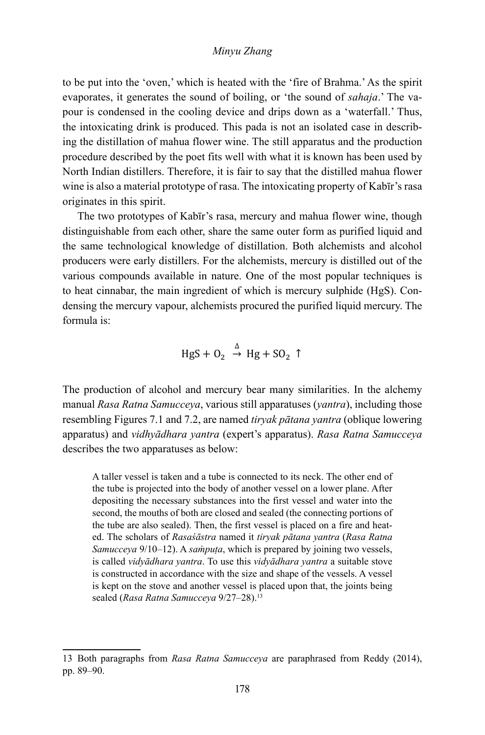to be put into the 'oven,' which is heated with the 'fire of Brahma.' As the spirit evaporates, it generates the sound of boiling, or 'the sound of *sahaja*.' The vapour is condensed in the cooling device and drips down as a 'waterfall.' Thus, the intoxicating drink is produced. This pada is not an isolated case in describing the distillation of mahua flower wine. The still apparatus and the production procedure described by the poet fits well with what it is known has been used by North Indian distillers. Therefore, it is fair to say that the distilled mahua flower wine is also a material prototype of rasa. The intoxicating property of Kabīr's rasa originates in this spirit.

The two prototypes of Kabīr's rasa, mercury and mahua flower wine, though distinguishable from each other, share the same outer form as purified liquid and the same technological knowledge of distillation. Both alchemists and alcohol producers were early distillers. For the alchemists, mercury is distilled out of the various compounds available in nature. One of the most popular techniques is to heat cinnabar, the main ingredient of which is mercury sulphide (HgS). Condensing the mercury vapour, alchemists procured the purified liquid mercury. The formula is:

$$
HgS + O_2 \xrightarrow{\Delta} Hg + SO_2 \uparrow
$$

The production of alcohol and mercury bear many similarities. In the alchemy manual *Rasa Ratna Samucceya*, various still apparatuses (*yantra*), including those resembling Figures 7.1 and 7.2, are named *tiryak pātana yantra* (oblique lowering apparatus) and *vidhyādhara yantra* (expert's apparatus). *Rasa Ratna Samucceya* describes the two apparatuses as below:

A taller vessel is taken and a tube is connected to its neck. The other end of the tube is projected into the body of another vessel on a lower plane. After depositing the necessary substances into the first vessel and water into the second, the mouths of both are closed and sealed (the connecting portions of the tube are also sealed). Then, the first vessel is placed on a fire and heated. The scholars of *Rasaśāstra* named it *tiryak pātana yantra* (*Rasa Ratna Samucceya* 9/10–12). A *saṁpuṭa*, which is prepared by joining two vessels, is called *vidyādhara yantra*. To use this *vidyādhara yantra* a suitable stove is constructed in accordance with the size and shape of the vessels. A vessel is kept on the stove and another vessel is placed upon that, the joints being sealed (*Rasa Ratna Samucceya* 9/27–28).<sup>13</sup>

<sup>13</sup> Both paragraphs from *Rasa Ratna Samucceya* are paraphrased from Reddy (2014), pp. 89–90.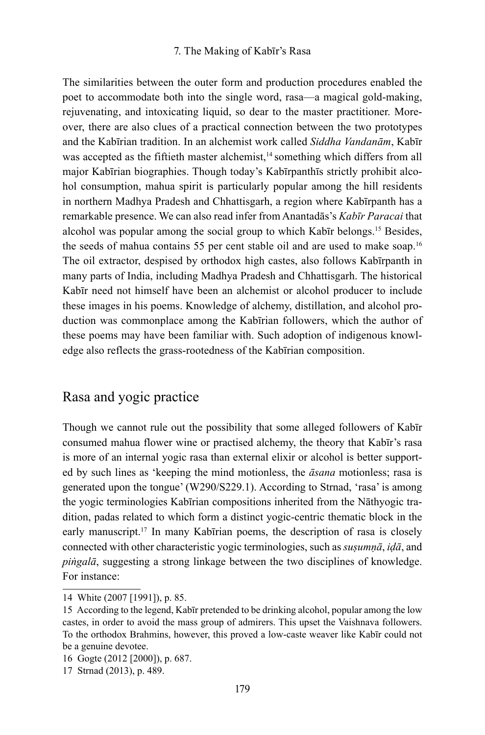## 7. The Making of Kabīr's Rasa

The similarities between the outer form and production procedures enabled the poet to accommodate both into the single word, rasa—a magical gold-making, rejuvenating, and intoxicating liquid, so dear to the master practitioner. Moreover, there are also clues of a practical connection between the two prototypes and the Kabīrian tradition. In an alchemist work called *Siddha Vandanām*, Kabīr was accepted as the fiftieth master alchemist,<sup>14</sup> something which differs from all major Kabīrian biographies. Though today's Kabīrpanthīs strictly prohibit alcohol consumption, mahua spirit is particularly popular among the hill residents in northern Madhya Pradesh and Chhattisgarh, a region where Kabīrpanth has a remarkable presence. We can also read infer from Anantadās's *Kabīr Paracai* that alcohol was popular among the social group to which Kabīr belongs.15 Besides, the seeds of mahua contains 55 per cent stable oil and are used to make soap.16 The oil extractor, despised by orthodox high castes, also follows Kabīrpanth in many parts of India, including Madhya Pradesh and Chhattisgarh. The historical Kabīr need not himself have been an alchemist or alcohol producer to include these images in his poems. Knowledge of alchemy, distillation, and alcohol production was commonplace among the Kabīrian followers, which the author of these poems may have been familiar with. Such adoption of indigenous knowledge also reflects the grass-rootedness of the Kabīrian composition.

# Rasa and yogic practice

Though we cannot rule out the possibility that some alleged followers of Kabīr consumed mahua flower wine or practised alchemy, the theory that Kabīr's rasa is more of an internal yogic rasa than external elixir or alcohol is better supported by such lines as 'keeping the mind motionless, the *āsana* motionless; rasa is generated upon the tongue' (W290/S229.1). According to Strnad, 'rasa' is among the yogic terminologies Kabīrian compositions inherited from the Nāthyogic tradition, padas related to which form a distinct yogic-centric thematic block in the early manuscript.<sup>17</sup> In many Kabīrian poems, the description of rasa is closely connected with other characteristic yogic terminologies, such as *suṣumṇā*, *iḍā*, and *piṅgalā*, suggesting a strong linkage between the two disciplines of knowledge. For instance:

<sup>14</sup> White (2007 [1991]), p. 85.

<sup>15</sup> According to the legend, Kabīr pretended to be drinking alcohol, popular among the low castes, in order to avoid the mass group of admirers. This upset the Vaishnava followers. To the orthodox Brahmins, however, this proved a low-caste weaver like Kabīr could not be a genuine devotee.

<sup>16</sup> Gogte (2012 [2000]), p. 687.

<sup>17</sup> Strnad (2013), p. 489.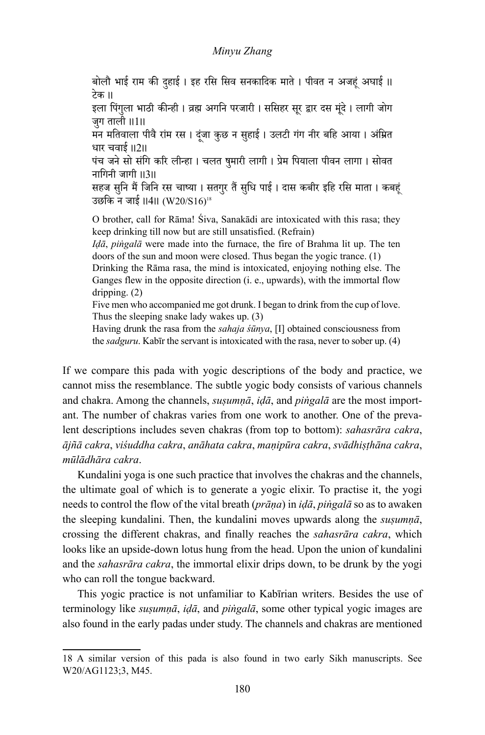बोलौ भाई राम की दुहाई । इह रसि सिव सनकादिक माते । पीवत न अजहूं अघाई ॥<br>टेक ॥

इला पिंगुला भाठी कीन्ही । व्रह्म अगनि परजारी । ससिहर सूर द्वार दस मूंदे । लागी जोग जग ताली ॥1॥

मन मतिवाला पीवै राम रस । दूंजा कुछ न सुहाई । उलटी गंग नीर बहि आया । अंम्रित धार चवाई ।।2।।

पंच जने सो संगि करि लीन्हा । चलत षुमारी लागी । प्रेम पियाला पीवन लागा । सोवत नागिनी जागी ।।3।।

सहज सुनि मैं जिनि रस चाष्या । सतगुर तैं सुधि पाई । दास कबीर इहि रसि माता । कबहूं<br>उछकि न जाई ॥4॥ (W20/S16)<sup>18</sup>

O brother, call for Rāma! Śiva, Sanakādi are intoxicated with this rasa; they keep drinking till now but are still unsatisfied. (Refrain)

*Iḍā*, *piṅgalā* were made into the furnace, the fire of Brahma lit up. The ten doors of the sun and moon were closed. Thus began the yogic trance. (1)

Drinking the Rāma rasa, the mind is intoxicated, enjoying nothing else. The Ganges flew in the opposite direction (i. e., upwards), with the immortal flow dripping. (2)

Five men who accompanied me got drunk. I began to drink from the cup of love. Thus the sleeping snake lady wakes up. (3)

Having drunk the rasa from the *sahaja śūnya*, [I] obtained consciousness from the *sadguru*. Kabīr the servant is intoxicated with the rasa, never to sober up. (4)

If we compare this pada with yogic descriptions of the body and practice, we cannot miss the resemblance. The subtle yogic body consists of various channels and chakra. Among the channels, *suṣumṇā*, *iḍā*, and *piṅgalā* are the most important. The number of chakras varies from one work to another. One of the prevalent descriptions includes seven chakras (from top to bottom): *sahasrāra cakra*, *ājñā cakra*, *viśuddha cakra*, *anāhata cakra*, *maṇipūra cakra*, *svādhiṣṭhāna cakra*, *mūlādhāra cakra*.

Kundalini yoga is one such practice that involves the chakras and the channels, the ultimate goal of which is to generate a yogic elixir. To practise it, the yogi needs to control the flow of the vital breath (*prāṇa*) in *iḍā*, *piṅgalā* so as to awaken the sleeping kundalini. Then, the kundalini moves upwards along the *suṣumṇā*, crossing the different chakras, and finally reaches the *sahasrāra cakra*, which looks like an upside-down lotus hung from the head. Upon the union of kundalini and the *sahasrāra cakra*, the immortal elixir drips down, to be drunk by the yogi who can roll the tongue backward.

This yogic practice is not unfamiliar to Kabīrian writers. Besides the use of terminology like *suṣumṇā*, *iḍā*, and *piṅgalā*, some other typical yogic images are also found in the early padas under study. The channels and chakras are mentioned

<sup>18</sup> A similar version of this pada is also found in two early Sikh manuscripts. See W20/AG1123;3, M45.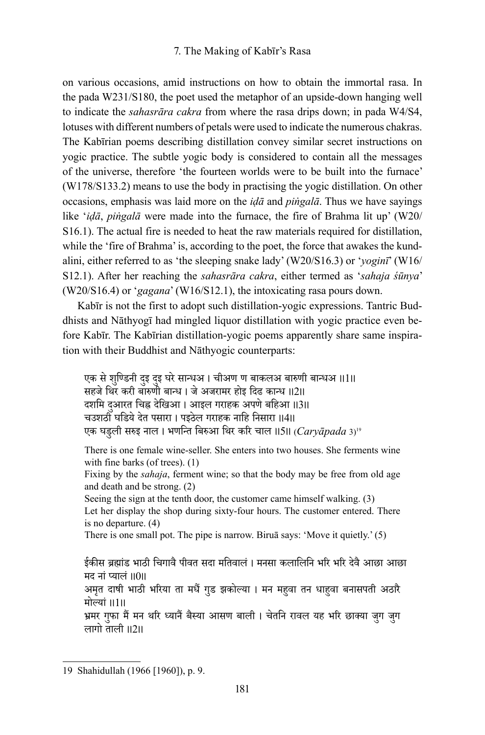on various occasions, amid instructions on how to obtain the immortal rasa. In the pada W231/S180, the poet used the metaphor of an upside-down hanging well to indicate the *sahasrāra cakra* from where the rasa drips down; in pada W4/S4, lotuses with different numbers of petals were used to indicate the numerous chakras. The Kabīrian poems describing distillation convey similar secret instructions on yogic practice. The subtle yogic body is considered to contain all the messages of the universe, therefore 'the fourteen worlds were to be built into the furnace' (W178/S133.2) means to use the body in practising the yogic distillation. On other occasions, emphasis was laid more on the *iḍā* and *piṅgalā*. Thus we have sayings like '*iḍā*, *piṅgalā* were made into the furnace, the fire of Brahma lit up' (W20/ S16.1). The actual fire is needed to heat the raw materials required for distillation, while the 'fire of Brahma' is, according to the poet, the force that awakes the kundalini, either referred to as 'the sleeping snake lady' (W20/S16.3) or '*yoginī*' (W16/ S12.1). After her reaching the *sahasrāra cakra*, either termed as '*sahaja śūnya*' (W20/S16.4) or '*gagana*' (W16/S12.1), the intoxicating rasa pours down.

Kabīr is not the first to adopt such distillation-yogic expressions. Tantric Buddhists and Nāthyogī had mingled liquor distillation with yogic practice even before Kabīr. The Kabīrian distillation-yogic poems apparently share same inspiration with their Buddhist and Nāthyogic counterparts:

एक से शुण्डिनी दुइ दुइ घरे सान्ध्अ । चीअण ण बाकलअ बारुणी बान्धअ ॥1॥ सहजे थिर करी बारुणी बान्ध । जे अजरामर होइ दिढ कान्ध ।।2।। दशमि दुआरत चिह्न देखिआ । आइल गराहक अपणे बहिआ ॥3॥ चउशठी घडिये देत पसारा । पइठेल गराहक नाहि निसारा ।।4।। एक घडु ली सरुइ नाल । भणन्ति बिरुआ थिर करि चाल ।।5।। (*Caryāpada* 3)<sup>19</sup>

There is one female wine-seller. She enters into two houses. She ferments wine with fine barks (of trees). (1)

Fixing by the *sahaja*, ferment wine; so that the body may be free from old age and death and be strong. (2)

Seeing the sign at the tenth door, the customer came himself walking. (3) Let her display the shop during sixty-four hours. The customer entered. There is no departure. (4)

There is one small pot. The pipe is narrow. Biruā says: 'Move it quietly.' (5)

ईकीस ब्रह्मांड भाठी चिगावै पीवत सदा मतिवालं । मनसा कलालिनि भरि भरि देवै आछा आछा मद नां प्यालं ॥०॥ अमतृ दाषी भाठी भरिया ता मधैं गडु झकोल्या । मन महु वा तन धाहु वा बनासपती अठारै मोल्यां ।।1।। भ्रमर गुफा मैं मन थरि ध्यानैं बैस्या आसण बाली । चेतनि रावल यह भरि छाक्या जुग जुग<br>लागो ताली ॥2॥

<sup>19</sup> Shahidullah (1966 [1960]), p. 9.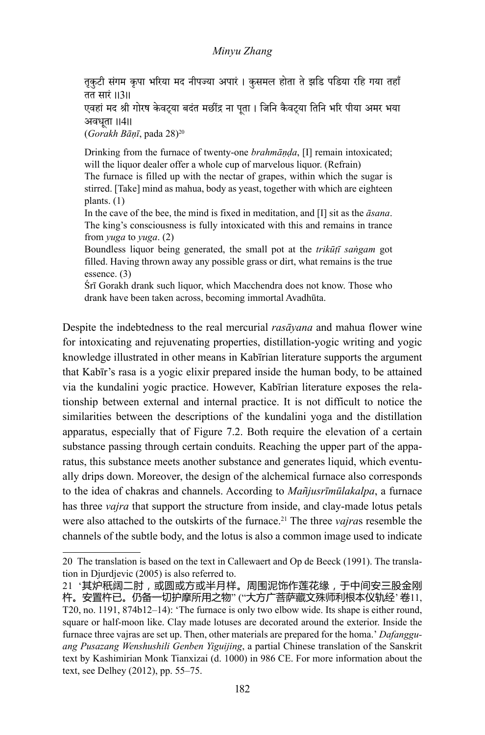तृकुटी संगम कृपा भरिया मद नीपज्या अपारं । कुसमल होता ते झडि पडिया रहि गया तहाँ तत सारं ।।3।।

एवहां मद श्री गोरष केवट्या बदंत मछींद्र ना पूता । जिनि कैवट्या तिनि भरि पीया अमर भया अवधता ॥4॥

(*Gorakh Bāṇī*, pada 28)20

Drinking from the furnace of twenty-one *brahmāṇḍa*, [I] remain intoxicated; will the liquor dealer offer a whole cup of marvelous liquor. (Refrain)

The furnace is filled up with the nectar of grapes, within which the sugar is stirred. [Take] mind as mahua, body as yeast, together with which are eighteen plants. (1)

In the cave of the bee, the mind is fixed in meditation, and [I] sit as the *āsana*. The king's consciousness is fully intoxicated with this and remains in trance from *yuga* to *yuga*. (2)

Boundless liquor being generated, the small pot at the *trikūṭī saṅgam* got filled. Having thrown away any possible grass or dirt, what remains is the true essence. (3)

Śrī Gorakh drank such liquor, which Macchendra does not know. Those who drank have been taken across, becoming immortal Avadhūta.

Despite the indebtedness to the real mercurial *rasāyana* and mahua flower wine for intoxicating and rejuvenating properties, distillation-yogic writing and yogic knowledge illustrated in other means in Kabīrian literature supports the argument that Kabīr's rasa is a yogic elixir prepared inside the human body, to be attained via the kundalini yogic practice. However, Kabīrian literature exposes the relationship between external and internal practice. It is not difficult to notice the similarities between the descriptions of the kundalini yoga and the distillation apparatus, especially that of Figure 7.2. Both require the elevation of a certain substance passing through certain conduits. Reaching the upper part of the apparatus, this substance meets another substance and generates liquid, which eventually drips down. Moreover, the design of the alchemical furnace also corresponds to the idea of chakras and channels. According to *Mañjusrīmūlakalpa*, a furnace has three *vajra* that support the structure from inside, and clay-made lotus petals were also attached to the outskirts of the furnace.<sup>21</sup> The three *vajra*s resemble the channels of the subtle body, and the lotus is also a common image used to indicate

<sup>20</sup> The translation is based on the text in Callewaert and Op de Beeck (1991). The translation in Djurdjevic (2005) is also referred to.

<sup>21 &#</sup>x27;其炉秖阔二肘,或圆或方或半月样。周围泥饰作莲花缘,于中间安三股金刚 杵。安置杵已。仍备一切护摩所用之物" ("大方广菩萨藏文殊师利根本仪轨经' 卷11, T20, no. 1191, 874b12–14): 'The furnace is only two elbow wide. Its shape is either round, square or half-moon like. Clay made lotuses are decorated around the exterior. Inside the furnace three vajras are set up. Then, other materials are prepared for the homa.' *Dafangguang Pusazang Wenshushili Genben Yiguijing*, a partial Chinese translation of the Sanskrit text by Kashimirian Monk Tianxizai (d. 1000) in 986 CE. For more information about the text, see Delhey (2012), pp. 55–75.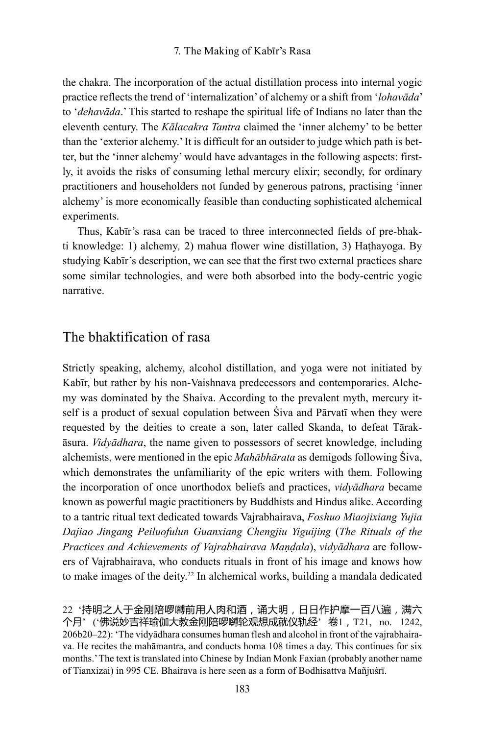the chakra. The incorporation of the actual distillation process into internal yogic practice reflects the trend of 'internalization' of alchemy or a shift from '*lohavāda*' to '*dehavāda*.' This started to reshape the spiritual life of Indians no later than the eleventh century. The *Kālacakra Tantra* claimed the 'inner alchemy' to be better than the 'exterior alchemy.' It is difficult for an outsider to judge which path is better, but the 'inner alchemy' would have advantages in the following aspects: firstly, it avoids the risks of consuming lethal mercury elixir; secondly, for ordinary practitioners and householders not funded by generous patrons, practising 'inner alchemy' is more economically feasible than conducting sophisticated alchemical experiments.

Thus, Kabīr's rasa can be traced to three interconnected fields of pre-bhakti knowledge: 1) alchemy, 2) mahua flower wine distillation, 3) Hathayoga. By studying Kabīr's description, we can see that the first two external practices share some similar technologies, and were both absorbed into the body-centric yogic narrative.

# The bhaktification of rasa

Strictly speaking, alchemy, alcohol distillation, and yoga were not initiated by Kabīr, but rather by his non-Vaishnava predecessors and contemporaries. Alchemy was dominated by the Shaiva. According to the prevalent myth, mercury itself is a product of sexual copulation between Śiva and Pārvatī when they were requested by the deities to create a son, later called Skanda, to defeat Tārakāsura. *Vidyādhara*, the name given to possessors of secret knowledge, including alchemists, were mentioned in the epic *Mahābhārata* as demigods following Śiva, which demonstrates the unfamiliarity of the epic writers with them. Following the incorporation of once unorthodox beliefs and practices, *vidyādhara* became known as powerful magic practitioners by Buddhists and Hindus alike. According to a tantric ritual text dedicated towards Vajrabhairava, *Foshuo Miaojixiang Yujia Dajiao Jingang Peiluofulun Guanxiang Chengjiu Yiguijing* (*The Rituals of the Practices and Achievements of Vajrabhairava Maṇḍala*), *vidyādhara* are followers of Vajrabhairava, who conducts rituals in front of his image and knows how to make images of the deity.<sup>22</sup> In alchemical works, building a mandala dedicated

<sup>22 &#</sup>x27;持明之人于金刚陪啰嚩前用人肉和酒,诵大明,日日作护摩一百八遍,满六 个月' ('佛说妙吉祥瑜伽大教金刚陪啰嚩轮观想成就仪轨经' 卷1,T21, no. 1242, 206b20–22): 'The vidyādhara consumes human flesh and alcohol in front of the vajrabhairava. He recites the mahāmantra, and conducts homa 108 times a day. This continues for six months.' The text is translated into Chinese by Indian Monk Faxian (probably another name of Tianxizai) in 995 CE. Bhairava is here seen as a form of Bodhisattva Mañjuśrī.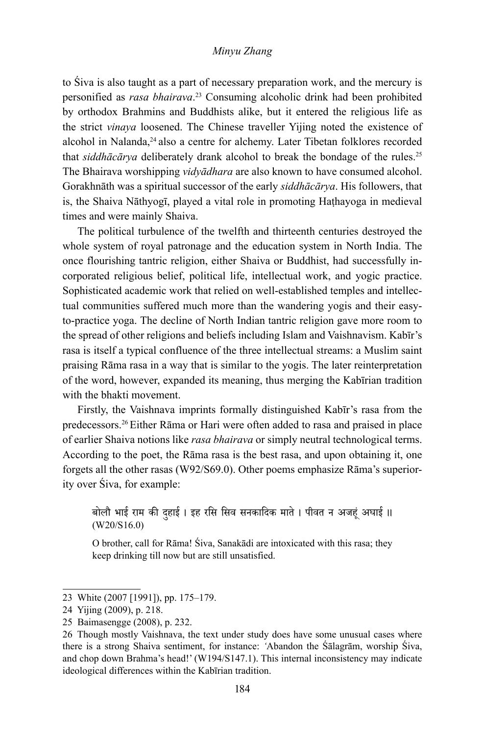to Śiva is also taught as a part of necessary preparation work, and the mercury is personified as *rasa bhairava*. <sup>23</sup> Consuming alcoholic drink had been prohibited by orthodox Brahmins and Buddhists alike, but it entered the religious life as the strict *vinaya* loosened. The Chinese traveller Yijing noted the existence of alcohol in Nalanda,<sup>24</sup> also a centre for alchemy. Later Tibetan folklores recorded that *siddhācārya* deliberately drank alcohol to break the bondage of the rules.<sup>25</sup> The Bhairava worshipping *vidyādhara* are also known to have consumed alcohol. Gorakhnāth was a spiritual successor of the early *siddhācārya*. His followers, that is, the Shaiva Nāthyogī, played a vital role in promoting Haṭhayoga in medieval times and were mainly Shaiva.

The political turbulence of the twelfth and thirteenth centuries destroyed the whole system of royal patronage and the education system in North India. The once flourishing tantric religion, either Shaiva or Buddhist, had successfully incorporated religious belief, political life, intellectual work, and yogic practice. Sophisticated academic work that relied on well-established temples and intellectual communities suffered much more than the wandering yogis and their easyto-practice yoga. The decline of North Indian tantric religion gave more room to the spread of other religions and beliefs including Islam and Vaishnavism. Kabīr's rasa is itself a typical confluence of the three intellectual streams: a Muslim saint praising Rāma rasa in a way that is similar to the yogis. The later reinterpretation of the word, however, expanded its meaning, thus merging the Kabīrian tradition with the bhakti movement.

Firstly, the Vaishnava imprints formally distinguished Kabīr's rasa from the predecessors.26Either Rāma or Hari were often added to rasa and praised in place of earlier Shaiva notions like *rasa bhairava* or simply neutral technological terms. According to the poet, the Rāma rasa is the best rasa, and upon obtaining it, one forgets all the other rasas (W92/S69.0). Other poems emphasize Rāma's superiority over Śiva, for example:

बोलौ भाई राम की दुहाई । इह रसि सिव सनकादिक माते । पीवत न अजहूं अघाई ॥<br>(W20/S16.0)

O brother, call for Rāma! Śiva, Sanakādi are intoxicated with this rasa; they keep drinking till now but are still unsatisfied.

<sup>23</sup> White (2007 [1991]), pp. 175–179.

<sup>24</sup> Yijing (2009), p. 218.

<sup>25</sup> Baimasengge (2008), p. 232.

<sup>26</sup> Though mostly Vaishnava, the text under study does have some unusual cases where there is a strong Shaiva sentiment, for instance: *'*Abandon the Śālagrām, worship Śiva, and chop down Brahma's head!' (W194/S147.1). This internal inconsistency may indicate ideological differences within the Kabīrian tradition.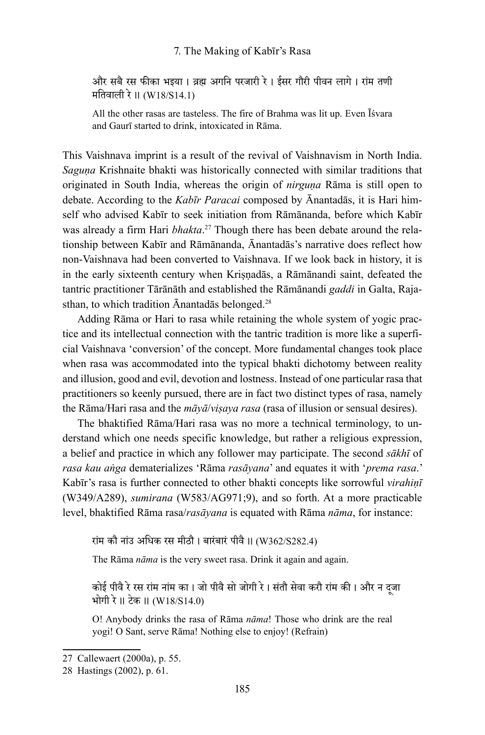और सबै रस फीका भइया । व्रह्म अगनि परजारी रे । ईसर गौरी पीवन लागे । रां म तणी मतिवाली रे ।। (W18/S14.1)

All the other rasas are tasteless. The fire of Brahma was lit up. Even Īśvara and Gaurī started to drink, intoxicated in Rāma.

This Vaishnava imprint is a result of the revival of Vaishnavism in North India. *Saguṇa* Krishnaite bhakti was historically connected with similar traditions that originated in South India, whereas the origin of *nirguṇa* Rāma is still open to debate. According to the *Kabīr Paracai* composed by Ānantadās, it is Hari himself who advised Kabīr to seek initiation from Rāmānanda, before which Kabīr was already a firm Hari *bhakta*. 27 Though there has been debate around the relationship between Kabīr and Rāmānanda, Ānantadās's narrative does reflect how non-Vaishnava had been converted to Vaishnava. If we look back in history, it is in the early sixteenth century when Kriṣṇadās, a Rāmānandi saint, defeated the tantric practitioner Tārānāth and established the Rāmānandi *gaddi* in Galta, Rajasthan, to which tradition Ānantadās belonged.28

Adding Rāma or Hari to rasa while retaining the whole system of yogic practice and its intellectual connection with the tantric tradition is more like a superficial Vaishnava 'conversion' of the concept. More fundamental changes took place when rasa was accommodated into the typical bhakti dichotomy between reality and illusion, good and evil, devotion and lostness. Instead of one particular rasa that practitioners so keenly pursued, there are in fact two distinct types of rasa, namely the Rāma/Hari rasa and the *māyā*/*viṣaya rasa* (rasa of illusion or sensual desires).

The bhaktified Rāma/Hari rasa was no more a technical terminology, to understand which one needs specific knowledge, but rather a religious expression, a belief and practice in which any follower may participate. The second *sākhī* of *rasa kau aṅga* dematerializes 'Rāma *rasāyana*' and equates it with '*prema rasa*.' Kabīr's rasa is further connected to other bhakti concepts like sorrowful *virahiṇī* (W349/A289), *sumirana* (W583/AG971;9), and so forth. At a more practicable level, bhaktified Rāma rasa/*rasāyana* is equated with Rāma *nāma*, for instance:

रां म कौ नां उ अधिक रस मीठौ । बारं बारं पीवै ।। (W362/S282.4)

The Rāma *nāma* is the very sweet rasa. Drink it again and again.

कोई पीवै रे रस रांम नांम का । जो पीवै सो जोगी रे । संतौ सेवा करौ रांम की । और न दूजा<br>भोगी रे ॥ टेक ॥ (W18/S14.0)

O! Anybody drinks the rasa of Rāma *nāma*! Those who drink are the real yogi! O Sant, serve Rāma! Nothing else to enjoy! (Refrain)

<sup>27</sup> Callewaert (2000a), p. 55.

<sup>28</sup> Hastings (2002), p. 61.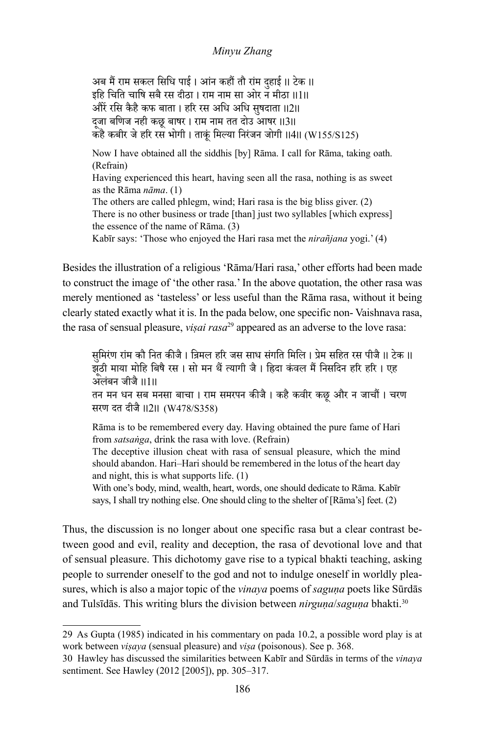अब मैं राम सकल सिधि पाई । आन कहौं तौ रांम दुहाई ॥ टेक ॥<br>दिल देखा इहि चिति चाषि सबै रस दीठा । राम नाम सा ओर न मीठा ।।1।। औरें रसि कैहै कुफ बाता । हरि रस अधि अधि सुषदाता ॥2॥ द्जा बणिज नही कछू बाषर । राम नाम तत दोउ आषर ।।3।। कहै कबीर जे हरि रस भोगी । ताकूं मिल्या निरंजन जोगी ॥4॥ (W155/S125) Now I have obtained all the siddhis [by] Rāma. I call for Rāma, taking oath. (Refrain) Having experienced this heart, having seen all the rasa, nothing is as sweet as the Rāma *nāma*. (1) The others are called phlegm, wind; Hari rasa is the big bliss giver. (2) There is no other business or trade [than] just two syllables [which express] the essence of the name of Rāma. (3) Kabīr says: 'Those who enjoyed the Hari rasa met the *nirañjana* yogi.' (4)

Besides the illustration of a religious 'Rāma/Hari rasa,' other efforts had been made to construct the image of 'the other rasa.' In the above quotation, the other rasa was merely mentioned as 'tasteless' or less useful than the Rāma rasa, without it being clearly stated exactly what it is. In the pada below, one specific non- Vaishnava rasa, the rasa of sensual pleasure, *viṣai rasa*29 appeared as an adverse to the love rasa:

सुमिरंण राम कौ नित कीजै । व्रिमल हरि जस साध संगति मिलि । प्रेम सहित रस पीजै ॥ टेक ॥ झठी माया मो ू हि बिषै रस । सो मन थैं त्यागी जै । ह्रिदा कंवल मैं निसदिन हरि हरि । एह अलं बन जीजै ।।1।। तन मन धन सब मनसा बाचा । राम समरपन कीजै । कहै कवीर कछू और न जाचौं । चरण

सरण दत दीजै ।।2।। (W478/S358)

Rāma is to be remembered every day. Having obtained the pure fame of Hari from *satsaṅga*, drink the rasa with love. (Refrain)

The deceptive illusion cheat with rasa of sensual pleasure, which the mind should abandon. Hari–Hari should be remembered in the lotus of the heart day and night, this is what supports life. (1)

With one's body, mind, wealth, heart, words, one should dedicate to Rāma. Kabīr says, I shall try nothing else. One should cling to the shelter of [Rāma's] feet. (2)

Thus, the discussion is no longer about one specific rasa but a clear contrast between good and evil, reality and deception, the rasa of devotional love and that of sensual pleasure. This dichotomy gave rise to a typical bhakti teaching, asking people to surrender oneself to the god and not to indulge oneself in worldly pleasures, which is also a major topic of the *vinaya* poems of *saguna* poets like Sūrdās and Tulsīdās. This writing blurs the division between *nirguṇa*/*saguṇa* bhakti.30

<sup>29</sup> As Gupta (1985) indicated in his commentary on pada 10.2, a possible word play is at work between *viṣaya* (sensual pleasure) and *viṣa* (poisonous). See p. 368.

<sup>30</sup> Hawley has discussed the similarities between Kabīr and Sūrdās in terms of the *vinaya* sentiment. See Hawley (2012 [2005]), pp. 305–317.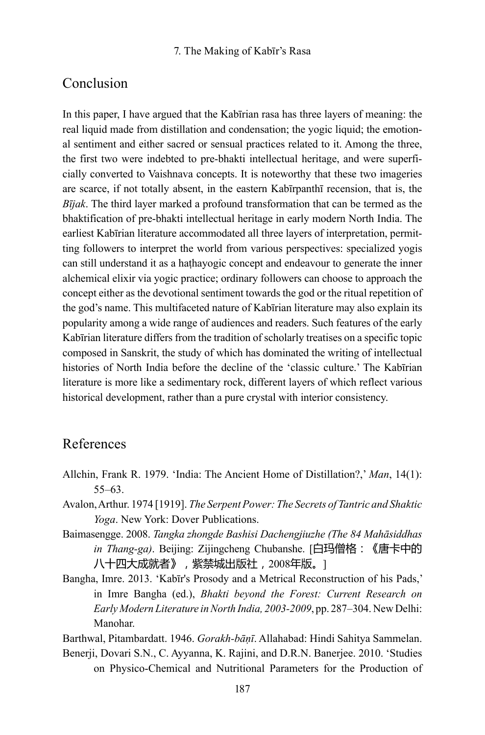# Conclusion

In this paper, I have argued that the Kabīrian rasa has three layers of meaning: the real liquid made from distillation and condensation; the yogic liquid; the emotional sentiment and either sacred or sensual practices related to it. Among the three, the first two were indebted to pre-bhakti intellectual heritage, and were superficially converted to Vaishnava concepts. It is noteworthy that these two imageries are scarce, if not totally absent, in the eastern Kabīrpanthī recension, that is, the *Bījak*. The third layer marked a profound transformation that can be termed as the bhaktification of pre-bhakti intellectual heritage in early modern North India. The earliest Kabīrian literature accommodated all three layers of interpretation, permitting followers to interpret the world from various perspectives: specialized yogis can still understand it as a haṭhayogic concept and endeavour to generate the inner alchemical elixir via yogic practice; ordinary followers can choose to approach the concept either as the devotional sentiment towards the god or the ritual repetition of the god's name. This multifaceted nature of Kabīrian literature may also explain its popularity among a wide range of audiences and readers. Such features of the early Kabīrian literature differs from the tradition of scholarly treatises on a specific topic composed in Sanskrit, the study of which has dominated the writing of intellectual histories of North India before the decline of the 'classic culture.' The Kabīrian literature is more like a sedimentary rock, different layers of which reflect various historical development, rather than a pure crystal with interior consistency.

# References

- Allchin, Frank R. 1979. 'India: The Ancient Home of Distillation?,' *Man*, 14(1): 55–63.
- Avalon, Arthur. 1974 [1919]. *The Serpent Power: The Secrets of Tantric and Shaktic Yoga*. New York: Dover Publications.
- Baimasengge. 2008. *Tangka zhongde Bashisi Dachengjiuzhe (The 84 Mahāsiddhas in Thang-ga)*. Beijing: Zijingcheng Chubanshe. [白玛僧格:《唐卡中的 八十四大成就者》,紫禁城出版社,2008年版。]
- Bangha, Imre. 2013. 'Kabīr's Prosody and a Metrical Reconstruction of his Pads,' in Imre Bangha (ed.), *Bhakti beyond the Forest: Current Research on Early Modern Literature in North India, 2003-2009*, pp. 287–304. New Delhi: Manohar.

Barthwal, Pitambardatt. 1946. *Gorakh-bāṇī*. Allahabad: Hindi Sahitya Sammelan.

Benerji, Dovari S.N., C. Ayyanna, K. Rajini, and D.R.N. Banerjee. 2010. 'Studies on Physico-Chemical and Nutritional Parameters for the Production of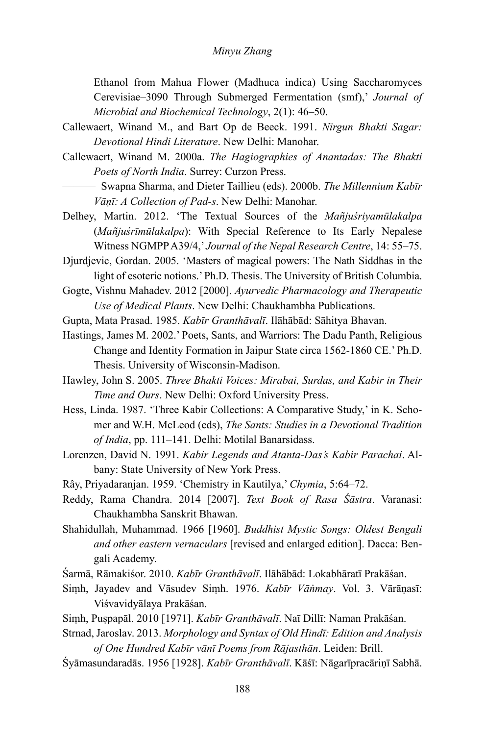Ethanol from Mahua Flower (Madhuca indica) Using Saccharomyces Cerevisiae–3090 Through Submerged Fermentation (smf),' *Journal of Microbial and Biochemical Technology*, 2(1): 46–50.

- Callewaert, Winand M., and Bart Op de Beeck. 1991. *Nirgun Bhakti Sagar: Devotional Hindi Literature*. New Delhi: Manohar.
- Callewaert, Winand M. 2000a. *The Hagiographies of Anantadas: The Bhakti Poets of North India*. Surrey: Curzon Press.
- ——— Swapna Sharma, and Dieter Taillieu (eds). 2000b. *The Millennium Kabīr Vāṇī: A Collection of Pad-s*. New Delhi: Manohar.
- Delhey, Martin. 2012. 'The Textual Sources of the *Mañjuśriyamūlakalpa*  (*Mañjuśrīmūlakalpa*): With Special Reference to Its Early Nepalese Witness NGMPP A39/4,' *Journal of the Nepal Research Centre*, 14: 55–75.
- Djurdjevic, Gordan. 2005. 'Masters of magical powers: The Nath Siddhas in the light of esoteric notions.' Ph.D. Thesis. The University of British Columbia.
- Gogte, Vishnu Mahadev. 2012 [2000]. *Ayurvedic Pharmacology and Therapeutic Use of Medical Plants*. New Delhi: Chaukhambha Publications.
- Gupta, Mata Prasad. 1985. *Kabīr Granthāvalī*. Ilāhābād: Sāhitya Bhavan.
- Hastings, James M. 2002.' Poets, Sants, and Warriors: The Dadu Panth, Religious Change and Identity Formation in Jaipur State circa 1562-1860 CE.' Ph.D. Thesis. University of Wisconsin-Madison.
- Hawley, John S. 2005. *Three Bhakti Voices: Mirabai, Surdas, and Kabir in Their Time and Ours*. New Delhi: Oxford University Press.
- Hess, Linda. 1987. 'Three Kabir Collections: A Comparative Study,' in K. Schomer and W.H. McLeod (eds), *The Sants: Studies in a Devotional Tradition of India*, pp. 111–141. Delhi: Motilal Banarsidass.
- Lorenzen, David N. 1991. *Kabir Legends and Atanta-Das's Kabir Parachai*. Albany: State University of New York Press.
- Rây, Priyadaranjan. 1959. 'Chemistry in Kautilya,' *Chymia*, 5:64–72.
- Reddy, Rama Chandra. 2014 [2007]. *Text Book of Rasa Śāstra*. Varanasi: Chaukhambha Sanskrit Bhawan.
- Shahidullah, Muhammad. 1966 [1960]. *Buddhist Mystic Songs: Oldest Bengali and other eastern vernaculars* [revised and enlarged edition]. Dacca: Bengali Academy.
- Śarmā, Rāmakiśor. 2010. *Kabīr Granthāvalī*. Ilāhābād: Lokabhāratī Prakāśan.
- Siṃh, Jayadev and Vāsudev Siṃh. 1976. *Kabīr Vāṅmay*. Vol. 3. Vārāṇasī: Viśvavidyālaya Prakāśan.
- Siṃh, Puṣpapāl. 2010 [1971]. *Kabīr Granthāvalī*. Naī Dillī: Naman Prakāśan.
- Strnad, Jaroslav. 2013. *Morphology and Syntax of Old Hindī: Edition and Analysis of One Hundred Kabīr vānī Poems from Rājasthān*. Leiden: Brill.
- Śyāmasundaradās. 1956 [1928]. *Kabīr Granthāvalī*. Kāśī: Nāgarīpracāriṇī Sabhā.